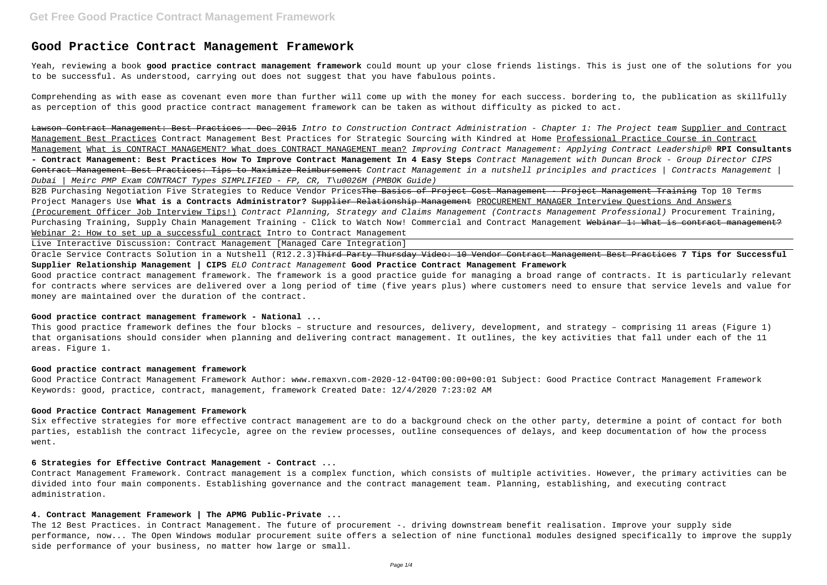# **Good Practice Contract Management Framework**

Yeah, reviewing a book **good practice contract management framework** could mount up your close friends listings. This is just one of the solutions for you to be successful. As understood, carrying out does not suggest that you have fabulous points.

Comprehending as with ease as covenant even more than further will come up with the money for each success. bordering to, the publication as skillfully as perception of this good practice contract management framework can be taken as without difficulty as picked to act.

Lawson Contract Management: Best Practices - Dec 2015 Intro to Construction Contract Administration - Chapter 1: The Project team Supplier and Contract Management Best Practices Contract Management Best Practices for Strategic Sourcing with Kindred at Home Professional Practice Course in Contract Management What is CONTRACT MANAGEMENT? What does CONTRACT MANAGEMENT mean? Improving Contract Management: Applying Contract Leadership® **RPI Consultants - Contract Management: Best Practices How To Improve Contract Management In 4 Easy Steps** Contract Management with Duncan Brock - Group Director CIPS Contract Management Best Practices: Tips to Maximize Reimbursement Contract Management in a nutshell principles and practices | Contracts Management | Dubai | Meirc PMP Exam CONTRACT Types SIMPLIFIED - FP, CR, T\u0026M (PMBOK Guide)

B2B Purchasing Negotiation Five Strategies to Reduce Vendor Prices<del>The Basics of Project Cost Management - Project Management Training</del> Top 10 Terms Project Managers Use **What is a Contracts Administrator?** Supplier Relationship Management PROCUREMENT MANAGER Interview Questions And Answers (Procurement Officer Job Interview Tips!) Contract Planning, Strategy and Claims Management (Contracts Management Professional) Procurement Training, Purchasing Training, Supply Chain Management Training - Click to Watch Now! Commercial and Contract Management Webinar 1: What is contract management? Webinar 2: How to set up a successful contract Intro to Contract Management

Oracle Service Contracts Solution in a Nutshell (R12.2.3)<del>Third Party Thursday Video: 10 Vendor Contract Management Best Practices</del> 7 Tips for Successful **Supplier Relationship Management | CIPS** ELO Contract Management **Good Practice Contract Management Framework** Good practice contract management framework. The framework is a good practice guide for managing a broad range of contracts. It is particularly relevant for contracts where services are delivered over a long period of time (five years plus) where customers need to ensure that service levels and value for money are maintained over the duration of the contract.

Live Interactive Discussion: Contract Management [Managed Care Integration]

#### **Good practice contract management framework - National ...**

This good practice framework defines the four blocks – structure and resources, delivery, development, and strategy – comprising 11 areas (Figure 1) that organisations should consider when planning and delivering contract management. It outlines, the key activities that fall under each of the 11 areas. Figure 1.

# **Good practice contract management framework**

Good Practice Contract Management Framework Author: www.remaxvn.com-2020-12-04T00:00:00+00:01 Subject: Good Practice Contract Management Framework Keywords: good, practice, contract, management, framework Created Date: 12/4/2020 7:23:02 AM

#### **Good Practice Contract Management Framework**

Six effective strategies for more effective contract management are to do a background check on the other party, determine a point of contact for both parties, establish the contract lifecycle, agree on the review processes, outline consequences of delays, and keep documentation of how the process went.

#### **6 Strategies for Effective Contract Management - Contract ...**

Contract Management Framework. Contract management is a complex function, which consists of multiple activities. However, the primary activities can be divided into four main components. Establishing governance and the contract management team. Planning, establishing, and executing contract administration.

# **4. Contract Management Framework | The APMG Public-Private ...**

The 12 Best Practices. in Contract Management. The future of procurement -. driving downstream benefit realisation. Improve your supply side performance, now... The Open Windows modular procurement suite offers a selection of nine functional modules designed specifically to improve the supply side performance of your business, no matter how large or small.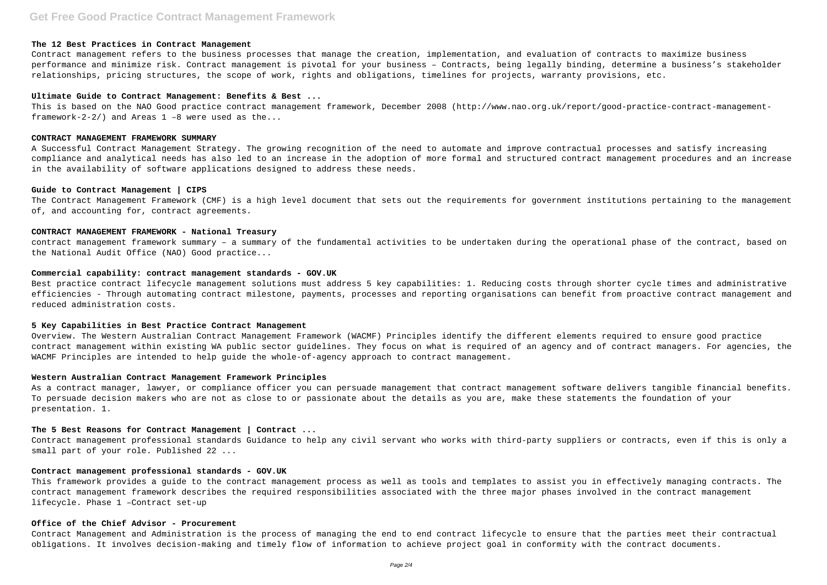# **Get Free Good Practice Contract Management Framework**

#### **The 12 Best Practices in Contract Management**

This is based on the NAO Good practice contract management framework, December 2008 (http://www.nao.org.uk/report/good-practice-contract-managementframework-2-2/) and Areas  $1 - 8$  were used as the...

Contract management refers to the business processes that manage the creation, implementation, and evaluation of contracts to maximize business performance and minimize risk. Contract management is pivotal for your business – Contracts, being legally binding, determine a business's stakeholder relationships, pricing structures, the scope of work, rights and obligations, timelines for projects, warranty provisions, etc.

# **Ultimate Guide to Contract Management: Benefits & Best ...**

The Contract Management Framework (CMF) is a high level document that sets out the requirements for government institutions pertaining to the management of, and accounting for, contract agreements.

#### **CONTRACT MANAGEMENT FRAMEWORK SUMMARY**

A Successful Contract Management Strategy. The growing recognition of the need to automate and improve contractual processes and satisfy increasing compliance and analytical needs has also led to an increase in the adoption of more formal and structured contract management procedures and an increase in the availability of software applications designed to address these needs.

### **Guide to Contract Management | CIPS**

# **CONTRACT MANAGEMENT FRAMEWORK - National Treasury**

contract management framework summary – a summary of the fundamental activities to be undertaken during the operational phase of the contract, based on the National Audit Office (NAO) Good practice...

### **Commercial capability: contract management standards - GOV.UK**

Best practice contract lifecycle management solutions must address 5 key capabilities: 1. Reducing costs through shorter cycle times and administrative efficiencies - Through automating contract milestone, payments, processes and reporting organisations can benefit from proactive contract management and reduced administration costs.

# **5 Key Capabilities in Best Practice Contract Management**

Overview. The Western Australian Contract Management Framework (WACMF) Principles identify the different elements required to ensure good practice contract management within existing WA public sector guidelines. They focus on what is required of an agency and of contract managers. For agencies, the WACMF Principles are intended to help guide the whole-of-agency approach to contract management.

# **Western Australian Contract Management Framework Principles**

As a contract manager, lawyer, or compliance officer you can persuade management that contract management software delivers tangible financial benefits. To persuade decision makers who are not as close to or passionate about the details as you are, make these statements the foundation of your presentation. 1.

# **The 5 Best Reasons for Contract Management | Contract ...**

Contract management professional standards Guidance to help any civil servant who works with third-party suppliers or contracts, even if this is only a small part of your role. Published 22 ...

# **Contract management professional standards - GOV.UK**

This framework provides a guide to the contract management process as well as tools and templates to assist you in effectively managing contracts. The contract management framework describes the required responsibilities associated with the three major phases involved in the contract management lifecycle. Phase 1 –Contract set-up

# **Office of the Chief Advisor - Procurement**

Contract Management and Administration is the process of managing the end to end contract lifecycle to ensure that the parties meet their contractual obligations. It involves decision-making and timely flow of information to achieve project goal in conformity with the contract documents.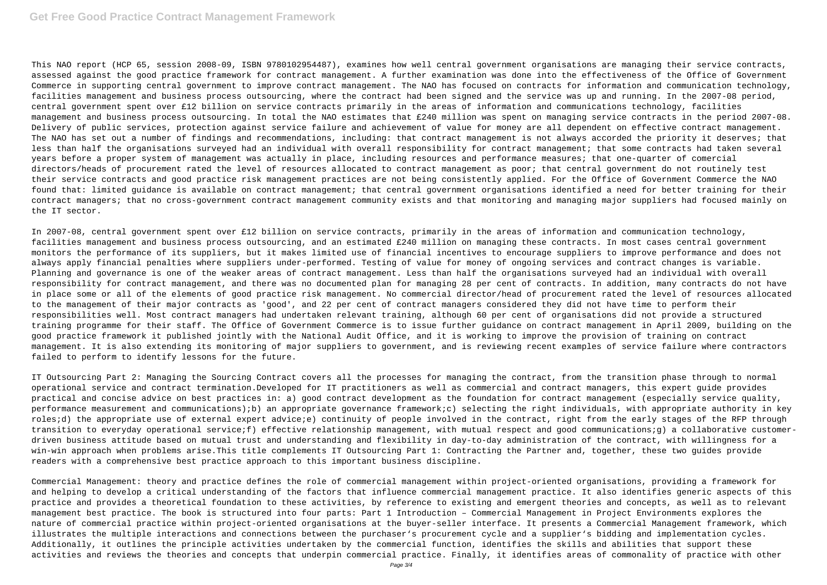# **Get Free Good Practice Contract Management Framework**

This NAO report (HCP 65, session 2008-09, ISBN 9780102954487), examines how well central government organisations are managing their service contracts, assessed against the good practice framework for contract management. A further examination was done into the effectiveness of the Office of Government Commerce in supporting central government to improve contract management. The NAO has focused on contracts for information and communication technology, facilities management and business process outsourcing, where the contract had been signed and the service was up and running. In the 2007-08 period, central government spent over £12 billion on service contracts primarily in the areas of information and communications technology, facilities management and business process outsourcing. In total the NAO estimates that £240 million was spent on managing service contracts in the period 2007-08. Delivery of public services, protection against service failure and achievement of value for money are all dependent on effective contract management. The NAO has set out a number of findings and recommendations, including: that contract management is not always accorded the priority it deserves; that less than half the organisations surveyed had an individual with overall responsibility for contract management; that some contracts had taken several years before a proper system of management was actually in place, including resources and performance measures; that one-quarter of comercial directors/heads of procurement rated the level of resources allocated to contract management as poor; that central government do not routinely test their service contracts and good practice risk management practices are not being consistently applied. For the Office of Government Commerce the NAO found that: limited guidance is available on contract management; that central government organisations identified a need for better training for their contract managers; that no cross-government contract management community exists and that monitoring and managing major suppliers had focused mainly on the IT sector.

In 2007-08, central government spent over £12 billion on service contracts, primarily in the areas of information and communication technology, facilities management and business process outsourcing, and an estimated £240 million on managing these contracts. In most cases central government monitors the performance of its suppliers, but it makes limited use of financial incentives to encourage suppliers to improve performance and does not always apply financial penalties where suppliers under-performed. Testing of value for money of ongoing services and contract changes is variable. Planning and governance is one of the weaker areas of contract management. Less than half the organisations surveyed had an individual with overall responsibility for contract management, and there was no documented plan for managing 28 per cent of contracts. In addition, many contracts do not have in place some or all of the elements of good practice risk management. No commercial director/head of procurement rated the level of resources allocated to the management of their major contracts as 'good', and 22 per cent of contract managers considered they did not have time to perform their responsibilities well. Most contract managers had undertaken relevant training, although 60 per cent of organisations did not provide a structured training programme for their staff. The Office of Government Commerce is to issue further guidance on contract management in April 2009, building on the good practice framework it published jointly with the National Audit Office, and it is working to improve the provision of training on contract management. It is also extending its monitoring of major suppliers to government, and is reviewing recent examples of service failure where contractors failed to perform to identify lessons for the future.

IT Outsourcing Part 2: Managing the Sourcing Contract covers all the processes for managing the contract, from the transition phase through to normal operational service and contract termination.Developed for IT practitioners as well as commercial and contract managers, this expert guide provides practical and concise advice on best practices in: a) good contract development as the foundation for contract management (especially service quality, performance measurement and communications);b) an appropriate governance framework;c) selecting the right individuals, with appropriate authority in key roles;d) the appropriate use of external expert advice;e) continuity of people involved in the contract, right from the early stages of the RFP through transition to everyday operational service;f) effective relationship management, with mutual respect and good communications;g) a collaborative customerdriven business attitude based on mutual trust and understanding and flexibility in day-to-day administration of the contract, with willingness for a win-win approach when problems arise.This title complements IT Outsourcing Part 1: Contracting the Partner and, together, these two guides provide readers with a comprehensive best practice approach to this important business discipline.

Commercial Management: theory and practice defines the role of commercial management within project-oriented organisations, providing a framework for and helping to develop a critical understanding of the factors that influence commercial management practice. It also identifies generic aspects of this practice and provides a theoretical foundation to these activities, by reference to existing and emergent theories and concepts, as well as to relevant management best practice. The book is structured into four parts: Part 1 Introduction – Commercial Management in Project Environments explores the nature of commercial practice within project-oriented organisations at the buyer-seller interface. It presents a Commercial Management framework, which illustrates the multiple interactions and connections between the purchaser's procurement cycle and a supplier's bidding and implementation cycles. Additionally, it outlines the principle activities undertaken by the commercial function, identifies the skills and abilities that support these activities and reviews the theories and concepts that underpin commercial practice. Finally, it identifies areas of commonality of practice with other